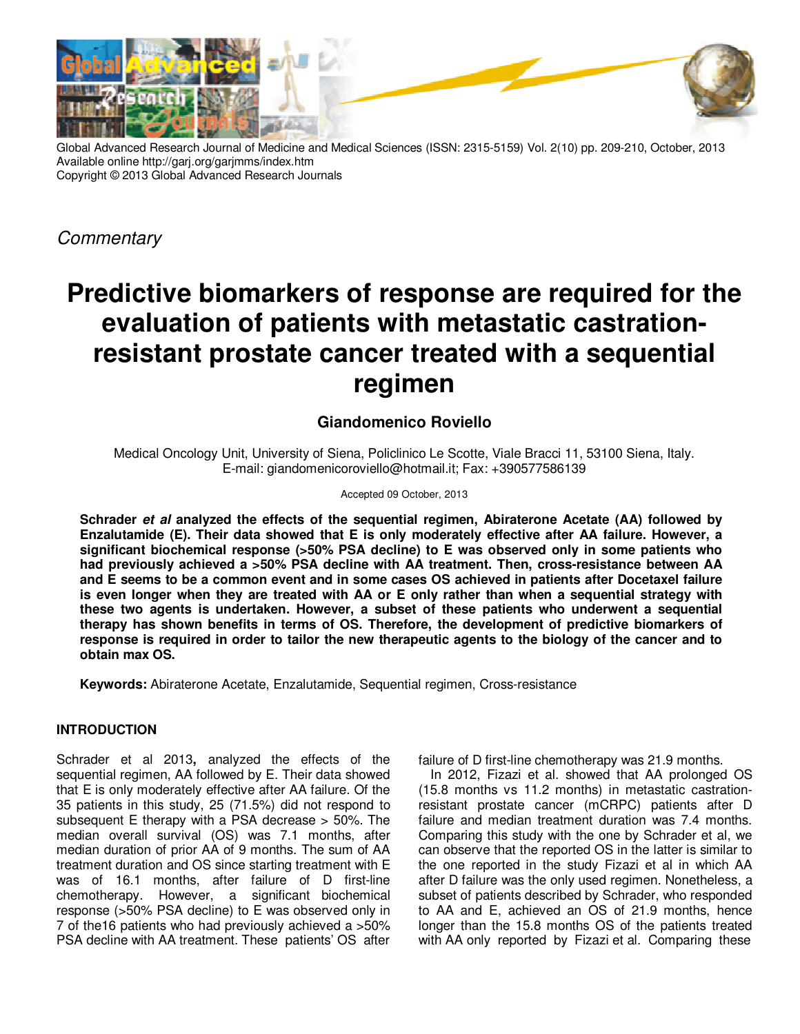

Global Advanced Research Journal of Medicine and Medical Sciences (ISSN: 2315-5159) Vol. 2(10) pp. 209-210, October, 2013 Available online http://garj.org/garjmms/index.htm Copyright © 2013 Global Advanced Research Journals

**Commentary** 

# **Predictive biomarkers of response are required for the evaluation of patients with metastatic castrationresistant prostate cancer treated with a sequential regimen**

## **Giandomenico Roviello**

Medical Oncology Unit, University of Siena, Policlinico Le Scotte, Viale Bracci 11, 53100 Siena, Italy. E-mail: giandomenicoroviello@hotmail.it; Fax: +390577586139

#### Accepted 09 October, 2013

**Schrader et al analyzed the effects of the sequential regimen, Abiraterone Acetate (AA) followed by Enzalutamide (E). Their data showed that E is only moderately effective after AA failure. However, a significant biochemical response (>50% PSA decline) to E was observed only in some patients who had previously achieved a >50% PSA decline with AA treatment. Then, cross-resistance between AA and E seems to be a common event and in some cases OS achieved in patients after Docetaxel failure is even longer when they are treated with AA or E only rather than when a sequential strategy with these two agents is undertaken. However, a subset of these patients who underwent a sequential therapy has shown benefits in terms of OS. Therefore, the development of predictive biomarkers of response is required in order to tailor the new therapeutic agents to the biology of the cancer and to obtain max OS.** 

**Keywords:** Abiraterone Acetate, Enzalutamide, Sequential regimen, Cross-resistance

### **INTRODUCTION**

Schrader et al 2013**,** analyzed the effects of the sequential regimen, AA followed by E. Their data showed that E is only moderately effective after AA failure. Of the 35 patients in this study, 25 (71.5%) did not respond to subsequent E therapy with a PSA decrease > 50%. The median overall survival (OS) was 7.1 months, after median duration of prior AA of 9 months. The sum of AA treatment duration and OS since starting treatment with E was of 16.1 months, after failure of D first-line chemotherapy. However, a significant biochemical response (>50% PSA decline) to E was observed only in 7 of the16 patients who had previously achieved a >50% PSA decline with AA treatment. These patients' OS after

failure of D first-line chemotherapy was 21.9 months.

In 2012, Fizazi et al. showed that AA prolonged OS (15.8 months vs 11.2 months) in metastatic castrationresistant prostate cancer (mCRPC) patients after D failure and median treatment duration was 7.4 months. Comparing this study with the one by Schrader et al, we can observe that the reported OS in the latter is similar to the one reported in the study Fizazi et al in which AA after D failure was the only used regimen. Nonetheless, a subset of patients described by Schrader, who responded to AA and E, achieved an OS of 21.9 months, hence longer than the 15.8 months OS of the patients treated with AA only reported by Fizazi et al. Comparing these